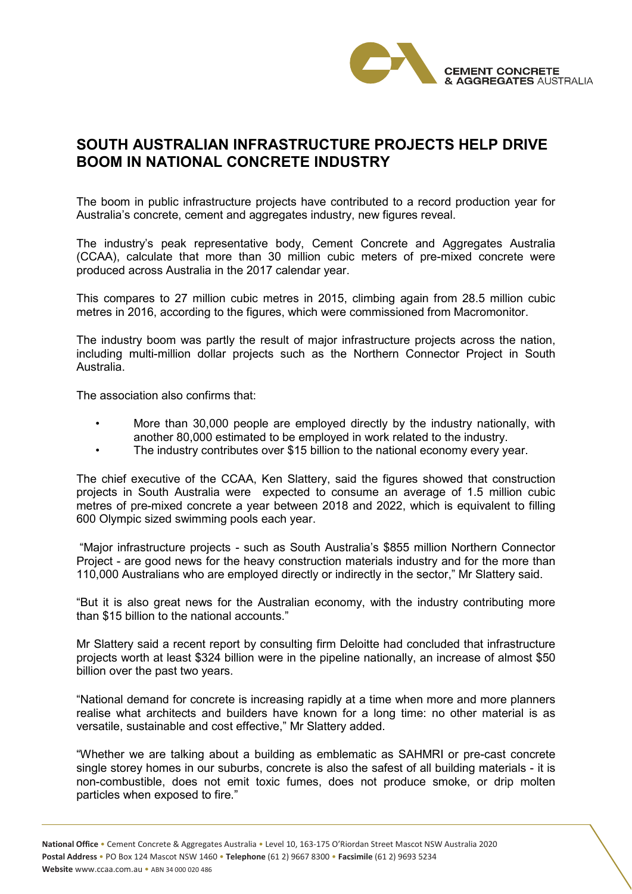

## **SOUTH AUSTRALIAN INFRASTRUCTURE PROJECTS HELP DRIVE BOOM IN NATIONAL CONCRETE INDUSTRY**

The boom in public infrastructure projects have contributed to a record production year for Australia's concrete, cement and aggregates industry, new figures reveal.

The industry's peak representative body, Cement Concrete and Aggregates Australia (CCAA), calculate that more than 30 million cubic meters of pre-mixed concrete were produced across Australia in the 2017 calendar year.

This compares to 27 million cubic metres in 2015, climbing again from 28.5 million cubic metres in 2016, according to the figures, which were commissioned from Macromonitor.

The industry boom was partly the result of major infrastructure projects across the nation, including multi-million dollar projects such as the Northern Connector Project in South Australia.

The association also confirms that:

- More than 30,000 people are employed directly by the industry nationally, with another 80,000 estimated to be employed in work related to the industry.
- The industry contributes over \$15 billion to the national economy every year.

The chief executive of the CCAA, Ken Slattery, said the figures showed that construction projects in South Australia were expected to consume an average of 1.5 million cubic metres of pre-mixed concrete a year between 2018 and 2022, which is equivalent to filling 600 Olympic sized swimming pools each year.

 "Major infrastructure projects - such as South Australia's \$855 million Northern Connector Project - are good news for the heavy construction materials industry and for the more than 110,000 Australians who are employed directly or indirectly in the sector," Mr Slattery said.

"But it is also great news for the Australian economy, with the industry contributing more than \$15 billion to the national accounts."

Mr Slattery said a recent report by consulting firm Deloitte had concluded that infrastructure projects worth at least \$324 billion were in the pipeline nationally, an increase of almost \$50 billion over the past two years.

"National demand for concrete is increasing rapidly at a time when more and more planners realise what architects and builders have known for a long time: no other material is as versatile, sustainable and cost effective," Mr Slattery added.

"Whether we are talking about a building as emblematic as SAHMRI or pre-cast concrete single storey homes in our suburbs, concrete is also the safest of all building materials - it is non-combustible, does not emit toxic fumes, does not produce smoke, or drip molten particles when exposed to fire."